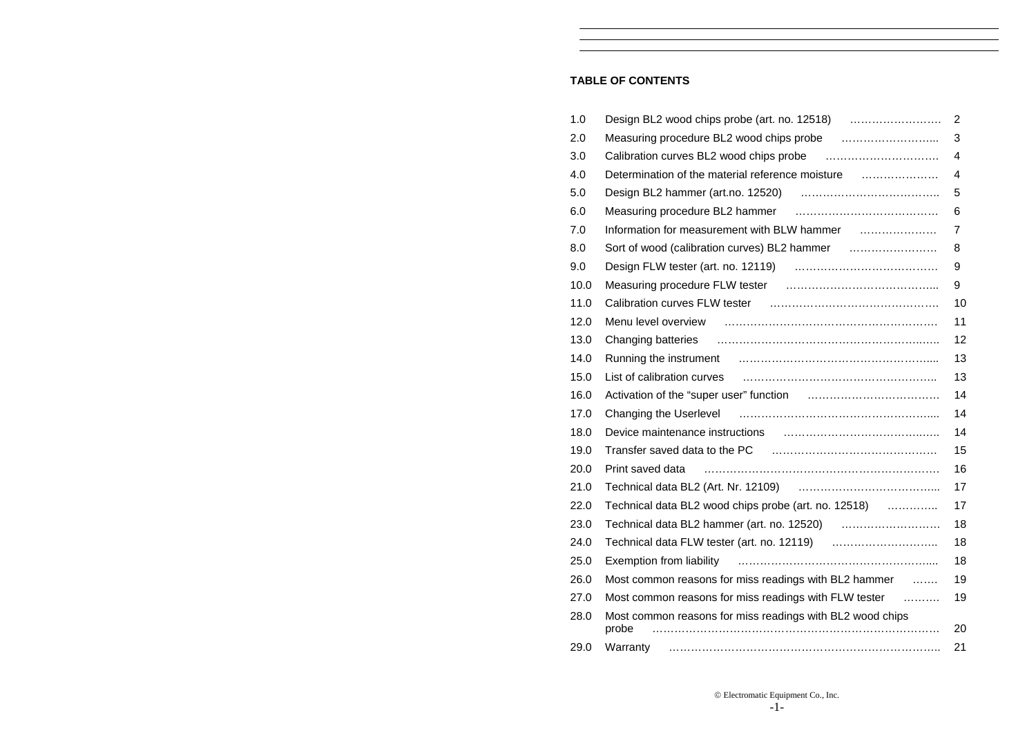### **TABLE OF CONTENTS**

| 1.0  |                                                                      | $\overline{2}$ |
|------|----------------------------------------------------------------------|----------------|
| 2.0  |                                                                      | 3              |
| 3.0  |                                                                      | 4              |
| 4.0  | Determination of the material reference moisture                     | 4              |
| 5.0  |                                                                      | 5              |
| 6.0  |                                                                      | 6              |
| 7.0  |                                                                      | $\overline{7}$ |
| 8.0  |                                                                      | 8              |
| 9.0  |                                                                      | 9              |
| 10.0 |                                                                      | 9              |
| 11.0 | Calibration curves FLW tester (all manumerations) calibration curves | 10             |
| 12.0 |                                                                      | 11             |
| 13.0 |                                                                      | 12             |
| 14.0 |                                                                      | 13             |
| 15.0 |                                                                      | 13             |
| 16.0 |                                                                      | 14             |
| 17.0 |                                                                      | 14             |
| 18.0 |                                                                      | 14             |
| 19.0 |                                                                      | 15             |
| 20.0 | Print saved data                                                     | 16             |
| 21.0 |                                                                      | 17             |
| 22.0 | Technical data BL2 wood chips probe (art. no. 12518)                 | 17             |
| 23.0 |                                                                      | 18             |
| 24.0 |                                                                      | 18             |
| 25.0 |                                                                      | 18             |
| 26.0 | Most common reasons for miss readings with BL2 hammer                | 19             |
| 27.0 | Most common reasons for miss readings with FLW tester                | 19             |
| 28.0 | Most common reasons for miss readings with BL2 wood chips<br>probe   | 20             |
| 29.0 | Warranty                                                             | 21             |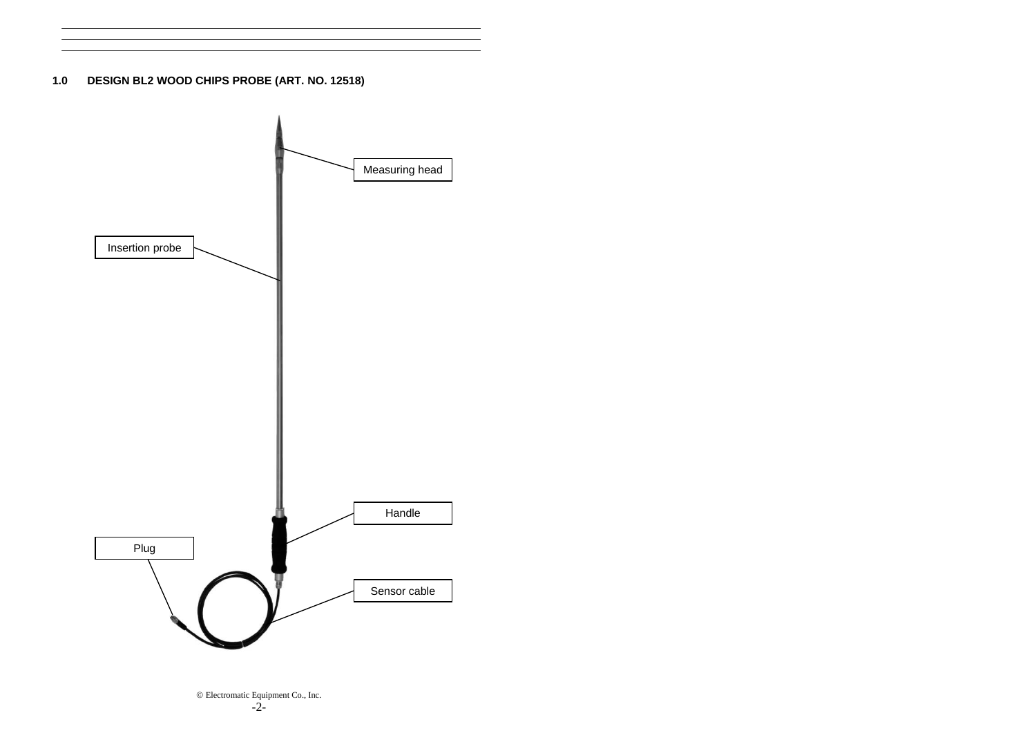**1.0 DESIGN BL2 WOOD CHIPS PROBE (ART. NO. 12518)** 



© Electromatic Equipment Co., Inc. -2-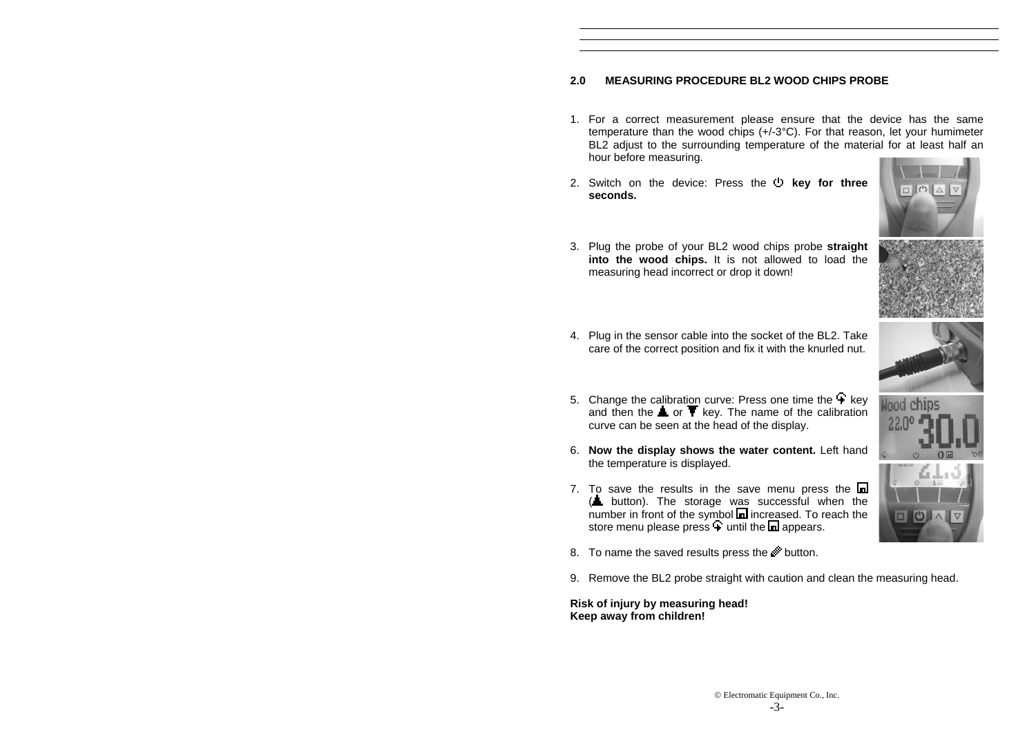# **2.0 MEASURING PROCEDURE BL2 WOOD CHIPS PROBE**

- 1. For a correct measurement please ensure that the device has the same temperature than the wood chips (+/-3°C). For that reason, let your humimeter BL2 adjust to the surrounding temperature of the material for at least half an hour before measuring.
- 2. Switch on the device: Press the **b** key for three **seconds.**



3. Plug the probe of your BL2 wood chips probe **straight into the wood chips.** It is not allowed to load the measuring head incorrect or drop it down!



4. Plug in the sensor cable into the socket of the BL2. Take care of the correct position and fix it with the knurled nut.



- 5. Change the calibration curve: Press one time the  $+$  key and then the  $\triangle$  or  $\blacktriangledown$  key. The name of the calibration curve can be seen at the head of the display.
- 6. **Now the display shows the water content.** Left hand the temperature is displayed.
- 7. To save the results in the save menu press the  $\blacksquare$ (**L** button). The storage was successful when the  $n = 5$  and  $n = 5$  and  $n = 5$  and  $n = 5$  and  $n = 5$  and  $n = 5$  and  $n = 5$  and  $n = 5$  and  $n = 5$  and  $n = 5$  and  $n = 5$  and  $n = 5$  and  $n = 5$  and  $n = 5$  and  $n = 5$  and  $n = 5$  and  $n = 5$  and  $n = 5$  and  $n = 5$  and  $n = 5$  and store menu please press  $\overline{+}$  until the  $\overline{+}$  appears.



- 8. To name the saved results press the **button**.
- 9. Remove the BL2 probe straight with caution and clean the measuring head.

**Risk of injury by measuring head! Keep away from children!**

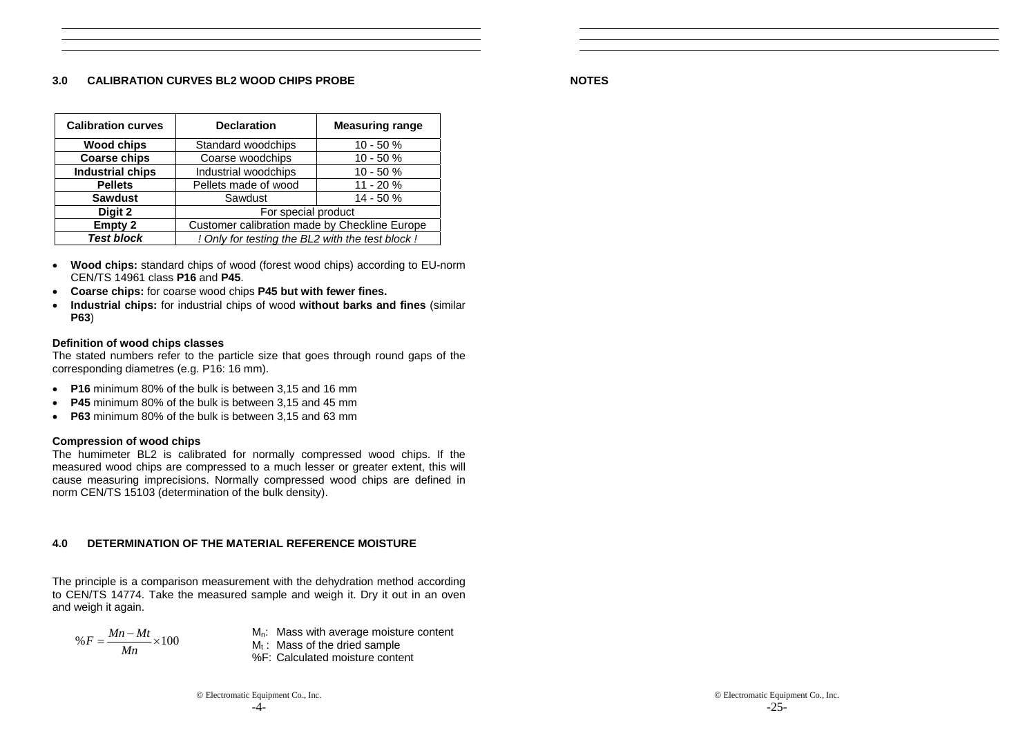### **3.0 CALIBRATION CURVES BL2 WOOD CHIPS PROBE**

**NOTES**

| <b>Calibration curves</b>                                             | <b>Declaration</b>                            | <b>Measuring range</b> |
|-----------------------------------------------------------------------|-----------------------------------------------|------------------------|
| <b>Wood chips</b>                                                     | Standard woodchips                            | $10 - 50%$             |
| <b>Coarse chips</b>                                                   | Coarse woodchips                              | $10 - 50%$             |
| <b>Industrial chips</b>                                               | Industrial woodchips                          | $10 - 50%$             |
| <b>Pellets</b>                                                        | Pellets made of wood                          | 11 - 20 %              |
| <b>Sawdust</b>                                                        | Sawdust                                       | $14 - 50%$             |
| Digit 2                                                               | For special product                           |                        |
| <b>Empty 2</b>                                                        | Customer calibration made by Checkline Europe |                        |
| <b>Test block</b><br>! Only for testing the BL2 with the test block ! |                                               |                        |

- • **Wood chips:** standard chips of wood (forest wood chips) according to EU-norm CEN/TS 14961 class **P16** and **P45**.
- •**Coarse chips:** for coarse wood chips **P45 but with fewer fines.**
- • **Industrial chips:** for industrial chips of wood **without barks and fines** (similar **P63**)

### **Definition of wood chips classes**

The stated numbers refer to the particle size that goes through round gaps of the corresponding diametres (e.g. P16: 16 mm).

- **P16** minimum 80% of the bulk is between 3,15 and 16 mm
- •**P45** minimum 80% of the bulk is between 3,15 and 45 mm
- **P63** minimum 80% of the bulk is between 3,15 and 63 mm

# **Compression of wood chips**

The humimeter BL2 is calibrated for normally compressed wood chips. If the measured wood chips are compressed to a much lesser or greater extent, this will cause measuring imprecisions. Normally compressed wood chips are defined in norm CEN/TS 15103 (determination of the bulk density).

# **4.0 DETERMINATION OF THE MATERIAL REFERENCE MOISTURE**

The principle is a comparison measurement with the dehydration method according to CEN/TS 14774. Take the measured sample and weigh it. Dry it out in an oven and weigh it again.

$$
\%F = \frac{Mn - Mt}{Mn} \times 100
$$

 $M_n$ : Mass with average moisture content  $M_t$ : Mass of the dried sample

- 
- %F: Calculated moisture content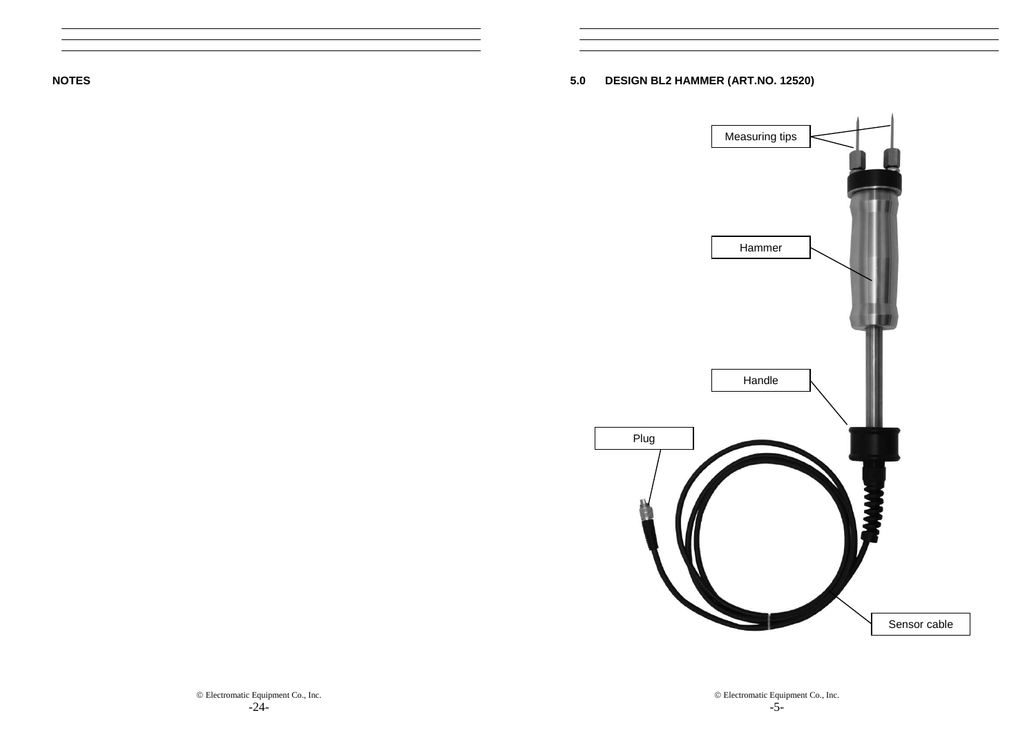**NOTES** 

**5.0 DESIGN BL2 HAMMER (ART.NO. 12520)** 

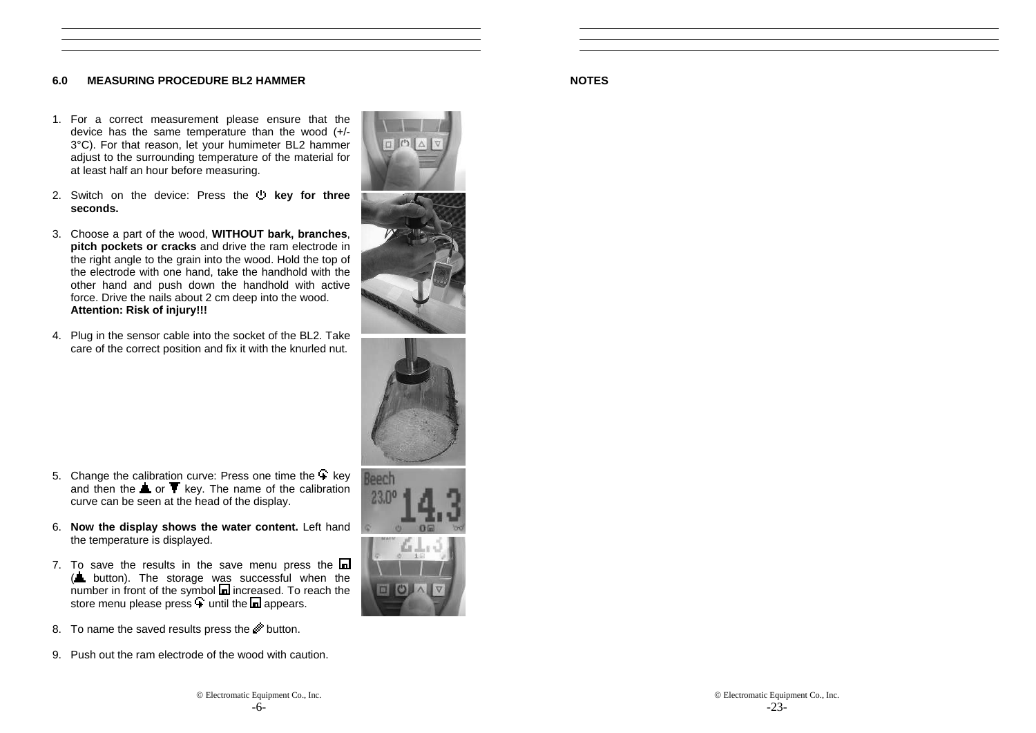# **6.0 MEASURING PROCEDURE BL2 HAMMER**

- 1. For a correct measurement please ensure that the device has the same temperature than the wood (+/- 3°C). For that reason, let your humimeter BL2 hammer adjust to the surrounding temperature of the material for at least half an hour before measuring.
- 2. Switch on the device: Press the **b** key for three **seconds.**
- 3. Choose a part of the wood, **WITHOUT bark, branches**, **pitch pockets or cracks** and drive the ram electrode in the right angle to the grain into the wood. Hold the top of the electrode with one hand, take the handhold with the other hand and push down the handhold with active force. Drive the nails about 2 cm deep into the wood. **Attention: Risk of injury!!!**
- 4. Plug in the sensor cable into the socket of the BL2. Take care of the correct position and fix it with the knurled nut.





- 5. Change the calibration curve: Press one time the  $\overline{+}$  key and then the  $\triangle$  or  $\blacktriangledown$  key. The name of the calibration curve can be seen at the head of the display.
- 6. **Now the display shows the water content.** Left hand the temperature is displayed.
- 7. To save the results in the save menu press the  $\blacksquare$  $(\triangle$  button). The storage was successful when the  $n$  number in front of the symbol  $\blacksquare$  increased. To reach the store menu please press  $\overline{\bullet}$  until the  $\overline{\bullet}$  appears.
- 8. To name the saved results press the **button**.
- 9. Push out the ram electrode of the wood with caution.

# **NOTES**

© Electromatic Equipment Co., Inc.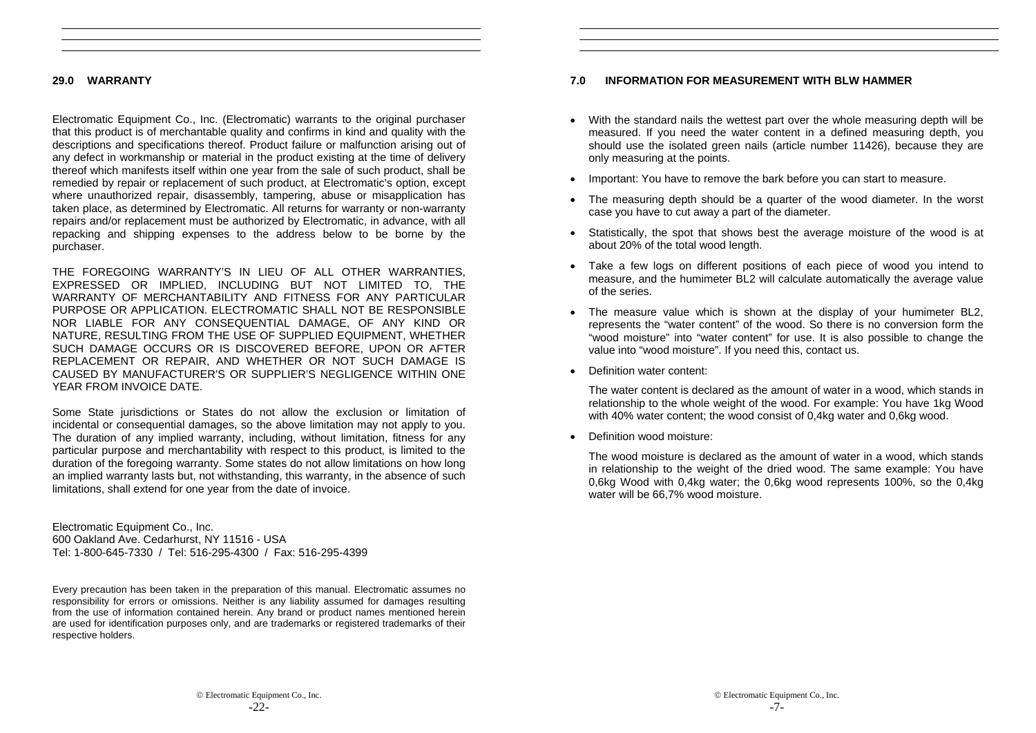# **29.0 WARRANTY**

Electromatic Equipment Co., Inc. (Electromatic) warrants to the original purchaser that this product is of merchantable quality and confirms in kind and quality with the descriptions and specifications thereof. Product failure or malfunction arising out of any defect in workmanship or material in the product existing at the time of delivery thereof which manifests itself within one year from the sale of such product, shall be remedied by repair or replacement of such product, at Electromatic's option, except where unauthorized repair, disassembly, tampering, abuse or misapplication has taken place, as determined by Electromatic. All returns for warranty or non-warranty repairs and/or replacement must be authorized by Electromatic, in advance, with all repacking and shipping expenses to the address below to be borne by the purchaser.

THE FOREGOING WARRANTY'S IN LIEU OF ALL OTHER WARRANTIES, EXPRESSED OR IMPLIED, INCLUDING BUT NOT LIMITED TO, THE WARRANTY OF MERCHANTABILITY AND FITNESS FOR ANY PARTICULAR PURPOSE OR APPLICATION. ELECTROMATIC SHALL NOT BE RESPONSIBLE NOR LIABLE FOR ANY CONSEQUENTIAL DAMAGE, OF ANY KIND OR NATURE, RESULTING FROM THE USE OF SUPPLIED EQUIPMENT, WHETHER SUCH DAMAGE OCCURS OR IS DISCOVERED BEFORE, UPON OR AFTER REPLACEMENT OR REPAIR, AND WHETHER OR NOT SUCH DAMAGE IS CAUSED BY MANUFACTURER'S OR SUPPLIER'S NEGLIGENCE WITHIN ONE YEAR FROM INVOICE DATE.

Some State jurisdictions or States do not allow the exclusion or limitation of incidental or consequential damages, so the above limitation may not apply to you. The duration of any implied warranty, including, without limitation, fitness for any particular purpose and merchantability with respect to this product, is limited to the duration of the foregoing warranty. Some states do not allow limitations on how long an implied warranty lasts but, not withstanding, this warranty, in the absence of such limitations, shall extend for one year from the date of invoice.

Electromatic Equipment Co., Inc. 600 Oakland Ave. Cedarhurst, NY 11516 - USA Tel: 1-800-645-7330 / Tel: 516-295-4300 / Fax: 516-295-4399

Every precaution has been taken in the preparation of this manual. Electromatic assumes no responsibility for errors or omissions. Neither is any liability assumed for damages resulting from the use of information contained herein. Any brand or product names mentioned herein are used for identification purposes only, and are trademarks or registered trademarks of their respective holders.

# **7.0 INFORMATION FOR MEASUREMENT WITH BLW HAMMER**

- With the standard nails the wettest part over the whole measuring depth will be measured. If you need the water content in a defined measuring depth, you should use the isolated green nails (article number 11426), because they are only measuring at the points.
- Important: You have to remove the bark before you can start to measure.
- The measuring depth should be a quarter of the wood diameter. In the worst case you have to cut away a part of the diameter.
- Statistically, the spot that shows best the average moisture of the wood is at about 20% of the total wood length.
- Take a few logs on different positions of each piece of wood you intend to measure, and the humimeter BL2 will calculate automatically the average value of the series.
- The measure value which is shown at the display of your humimeter BL2, represents the "water content" of the wood. So there is no conversion form the "wood moisture" into "water content" for use. It is also possible to change the value into "wood moisture". If you need this, contact us.
- Definition water content:

The water content is declared as the amount of water in a wood, which stands in relationship to the whole weight of the wood. For example: You have 1kg Wood with 40% water content; the wood consist of 0,4kg water and 0,6kg wood.

• Definition wood moisture:

The wood moisture is declared as the amount of water in a wood, which stands in relationship to the weight of the dried wood. The same example: You have 0,6kg Wood with 0,4kg water; the 0,6kg wood represents 100%, so the 0,4kg water will be 66.7% wood moisture.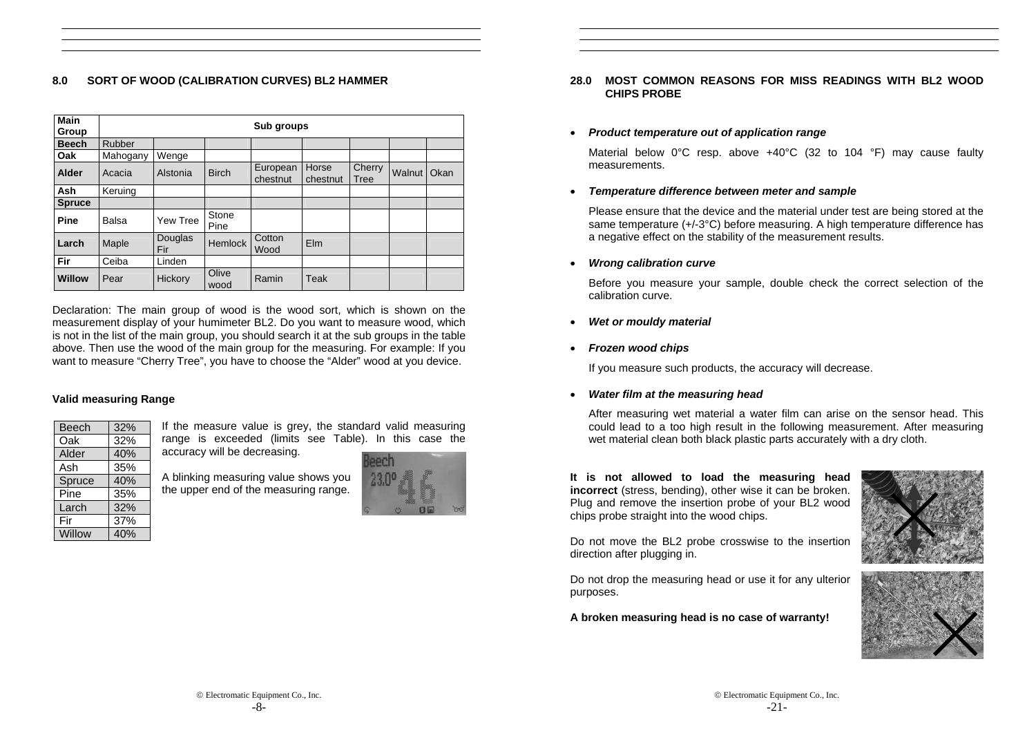# **8.0 SORT OF WOOD (CALIBRATION CURVES) BL2 HAMMER**

| <b>Main</b><br>Group |          |                |                | Sub groups           |                   |                |        |      |
|----------------------|----------|----------------|----------------|----------------------|-------------------|----------------|--------|------|
| <b>Beech</b>         | Rubber   |                |                |                      |                   |                |        |      |
| Oak                  | Mahogany | Wenge          |                |                      |                   |                |        |      |
| Alder                | Acacia   | Alstonia       | <b>Birch</b>   | European<br>chestnut | Horse<br>chestnut | Cherry<br>Tree | Walnut | Okan |
| <b>Ash</b>           | Keruing  |                |                |                      |                   |                |        |      |
| <b>Spruce</b>        |          |                |                |                      |                   |                |        |      |
| Pine                 | Balsa    | Yew Tree       | Stone<br>Pine  |                      |                   |                |        |      |
| Larch                | Maple    | Douglas<br>Fir | <b>Hemlock</b> | Cotton<br>Wood       | Elm               |                |        |      |
| Fir                  | Ceiba    | Linden         |                |                      |                   |                |        |      |
| <b>Willow</b>        | Pear     | Hickory        | Olive<br>wood  | Ramin                | Teak              |                |        |      |

Declaration: The main group of wood is the wood sort, which is shown on the measurement display of your humimeter BL2. Do you want to measure wood, which is not in the list of the main group, you should search it at the sub groups in the table above. Then use the wood of the main group for the measuring. For example: If you want to measure "Cherry Tree", you have to choose the "Alder" wood at you device.

# **Valid measuring Range**

| Beech  | 32% |
|--------|-----|
| Oak    | 32% |
| Alder  | 40% |
| Ash    | 35% |
| Spruce | 40% |
| Pine   | 35% |
| Larch  | 32% |
| Fir    | 37% |
| Willow | 40% |

If the measure value is grey, the standard valid measuring range is exceeded (limits see Table). In this case the accuracy will be decreasing.

A blinking measuring value shows you the upper end of the measuring range.



# **28.0 MOST COMMON REASONS FOR MISS READINGS WITH BL2 WOOD CHIPS PROBE**

### •*Product temperature out of application range*

Material below 0°C resp. above +40°C (32 to 104 °F) may cause faulty measurements.

### •*Temperature difference between meter and sample*

Please ensure that the device and the material under test are being stored at the same temperature (+/-3°C) before measuring. A high temperature difference has a negative effect on the stability of the measurement results.

•*Wrong calibration curve* 

> Before you measure your sample, double check the correct selection of the calibration curve.

- •*Wet or mouldy material*
- *Frozen wood chips*

If you measure such products, the accuracy will decrease.

•*Water film at the measuring head* 

After measuring wet material a water film can arise on the sensor head. This could lead to a too high result in the following measurement. After measuring wet material clean both black plastic parts accurately with a dry cloth.

**It is not allowed to load the measuring head incorrect** (stress, bending), other wise it can be broken. Plug and remove the insertion probe of your BL2 wood chips probe straight into the wood chips.

Do not move the BL2 probe crosswise to the insertion direction after plugging in.

Do not drop the measuring head or use it for any ulterior purposes.

**A broken measuring head is no case of warranty!** 



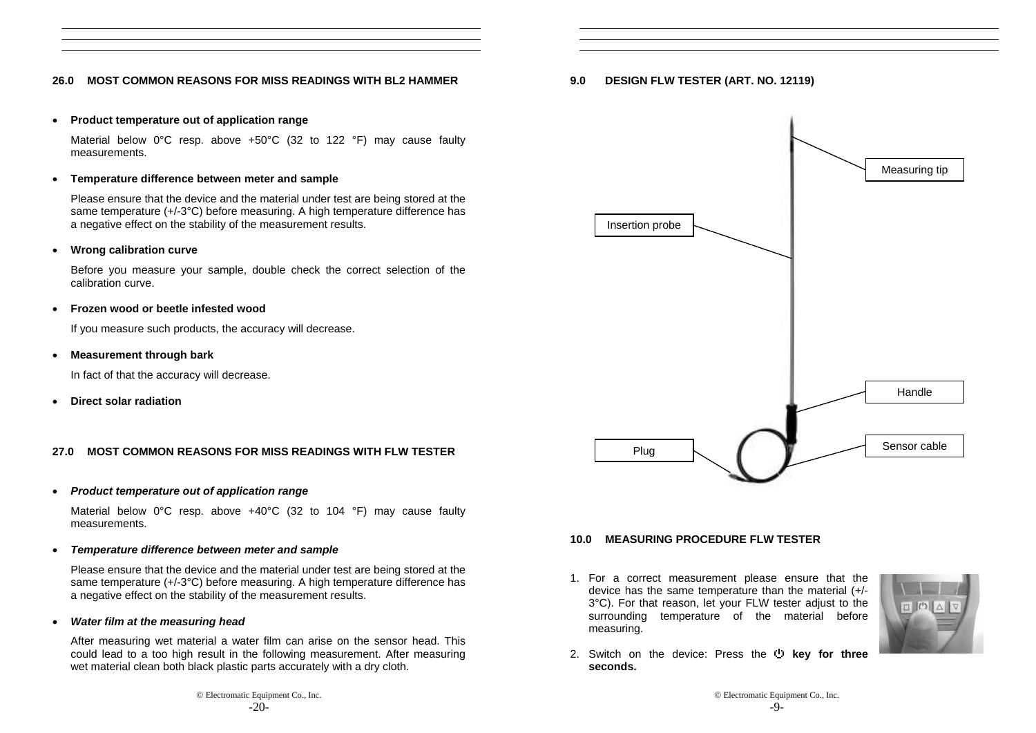# **26.0 MOST COMMON REASONS FOR MISS READINGS WITH BL2 HAMMER**

#### •**Product temperature out of application range**

 Material below 0°C resp. above +50°C (32 to 122 °F) may cause faulty measurements.

#### •**Temperature difference between meter and sample**

Please ensure that the device and the material under test are being stored at the same temperature (+/-3°C) before measuring. A high temperature difference has a negative effect on the stability of the measurement results.

#### •**Wrong calibration curve**

Before you measure your sample, double check the correct selection of the calibration curve.

#### •**Frozen wood or beetle infested wood**

If you measure such products, the accuracy will decrease.

#### •**Measurement through bark**

In fact of that the accuracy will decrease.

•**Direct solar radiation** 

# **27.0 MOST COMMON REASONS FOR MISS READINGS WITH FLW TESTER**

#### •*Product temperature out of application range*

Material below 0°C resp. above +40°C (32 to 104 °F) may cause faulty measurements.

#### •*Temperature difference between meter and sample*

Please ensure that the device and the material under test are being stored at the same temperature (+/-3°C) before measuring. A high temperature difference has a negative effect on the stability of the measurement results.

#### •*Water film at the measuring head*

After measuring wet material a water film can arise on the sensor head. This could lead to a too high result in the following measurement. After measuring wet material clean both black plastic parts accurately with a dry cloth.

# **9.0 DESIGN FLW TESTER (ART. NO. 12119)**



# **10.0 MEASURING PROCEDURE FLW TESTER**

1. For a correct measurement please ensure that the device has the same temperature than the material (+/- 3°C). For that reason, let your FLW tester adjust to the surrounding temperature of the material before measuring.



2. Switch on the device: Press the **b** key for three **seconds.**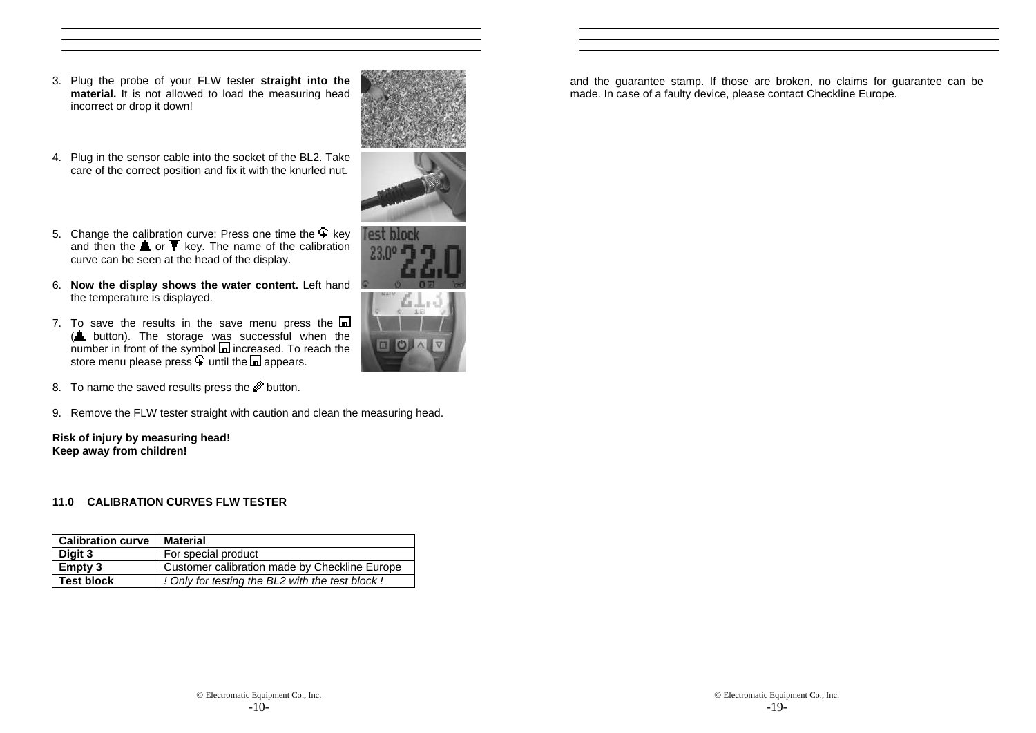- 3. Plug the probe of your FLW tester **straight into the material.** It is not allowed to load the measuring head incorrect or drop it down!
- 4. Plug in the sensor cable into the socket of the BL2. Take care of the correct position and fix it with the knurled nut.



- 5. Change the calibration curve: Press one time the  $+$  key and then the  $\triangle$  or  $\blacktriangledown$  key. The name of the calibration curve can be seen at the head of the display.
- 6. **Now the display shows the water content.** Left hand the temperature is displayed.
- 7. To save the results in the save menu press the  $\blacksquare$ (**L** button). The storage was successful when the number in front of the symbol **in** increased. To reach the store menu please press  $\pm$  until the  $\Box$  appears.
- 8. To name the saved results press the button.
- 9. Remove the FLW tester straight with caution and clean the measuring head.

**Risk of injury by measuring head! Keep away from children!** 

# **11.0 CALIBRATION CURVES FLW TESTER**

| <b>Calibration curve</b> | <b>Material</b>                                 |
|--------------------------|-------------------------------------------------|
| Digit 3                  | For special product                             |
| Empty 3                  | Customer calibration made by Checkline Europe   |
| <b>Test block</b>        | ! Only for testing the BL2 with the test block! |

and the guarantee stamp. If those are broken, no claims for guarantee can be made. In case of a faulty device, please contact Checkline Europe.



fest block  $23.0$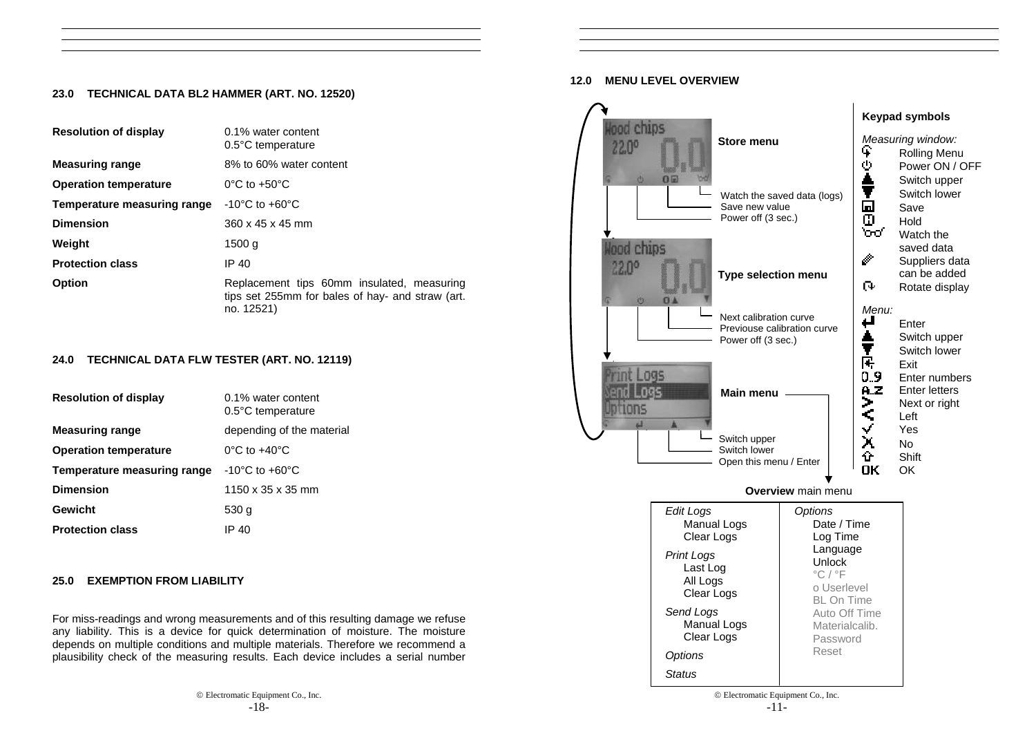# **23.0 TECHNICAL DATA BL2 HAMMER (ART. NO. 12520)**

| <b>Resolution of display</b> | 0.1% water content<br>0.5°C temperature                                                                      |
|------------------------------|--------------------------------------------------------------------------------------------------------------|
| <b>Measuring range</b>       | 8% to 60% water content                                                                                      |
| <b>Operation temperature</b> | $0^{\circ}$ C to +50 $^{\circ}$ C                                                                            |
| Temperature measuring range  | $-10^{\circ}$ C to $+60^{\circ}$ C                                                                           |
| <b>Dimension</b>             | 360 x 45 x 45 mm                                                                                             |
| Weight                       | 1500 a                                                                                                       |
| <b>Protection class</b>      | IP 40                                                                                                        |
| <b>Option</b>                | Replacement tips 60mm insulated, measuring<br>tips set 255mm for bales of hay- and straw (art.<br>no. 12521) |

# **24.0 TECHNICAL DATA FLW TESTER (ART. NO. 12119)**

| <b>Resolution of display</b> | 0.1% water content<br>$0.5^{\circ}$ C temperature |
|------------------------------|---------------------------------------------------|
| <b>Measuring range</b>       | depending of the material                         |
| <b>Operation temperature</b> | $0^{\circ}$ C to +40 $^{\circ}$ C                 |
| Temperature measuring range  | $-10^{\circ}$ C to $+60^{\circ}$ C                |
| <b>Dimension</b>             | 1150 x 35 x 35 mm                                 |
| Gewicht                      | 530 g                                             |
| <b>Protection class</b>      | IP 40                                             |

# **25.0 EXEMPTION FROM LIABILITY**

For miss-readings and wrong measurements and of this resulting damage we refuse any liability. This is a device for quick determination of moisture. The moisture depends on multiple conditions and multiple materials. Therefore we recommend a plausibility check of the measuring results. Each device includes a serial number

### **12.0 MENU LEVEL OVERVIEW**

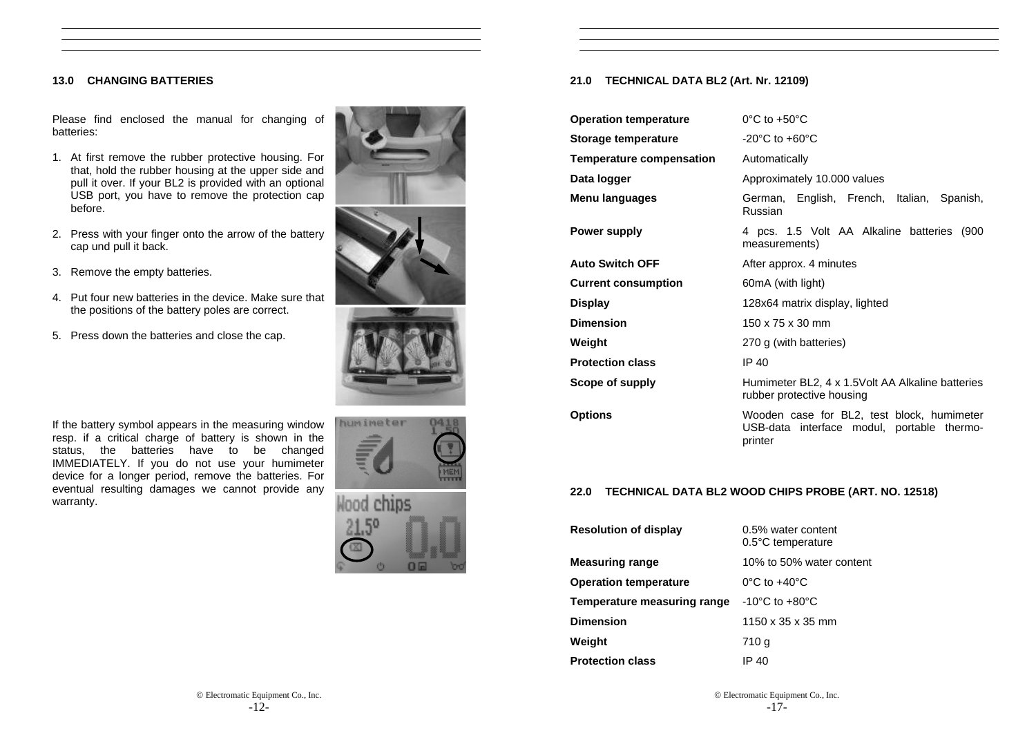# **13.0 CHANGING BATTERIES**

Please find enclosed the manual for changing of batteries:

- 1. At first remove the rubber protective housing. For that, hold the rubber housing at the upper side and pull it over. If your BL2 is provided with an optional USB port, you have to remove the protection cap before.
- 2. Press with your finger onto the arrow of the battery cap und pull it back.
- 3. Remove the empty batteries.
- 4. Put four new batteries in the device. Make sure that the positions of the battery poles are correct.
- 5. Press down the batteries and close the cap.



If the battery symbol appears in the measuring window resp. if a critical charge of battery is shown in the status, the batteries have to be changed IMMEDIATELY. If you do not use your humimeter device for a longer period, remove the batteries. For eventual resulting damages we cannot provide any warranty.



# **21.0 TECHNICAL DATA BL2 (Art. Nr. 12109)**

| <b>Operation temperature</b> | $0^{\circ}$ C to +50 $^{\circ}$ C                                                                   |
|------------------------------|-----------------------------------------------------------------------------------------------------|
| Storage temperature          | $-20^{\circ}$ C to $+60^{\circ}$ C                                                                  |
| Temperature compensation     | Automatically                                                                                       |
| Data logger                  | Approximately 10.000 values                                                                         |
| Menu languages               | German, English, French, Italian, Spanish,<br>Russian                                               |
| Power supply                 | 4 pcs. 1.5 Volt AA Alkaline batteries (900<br>measurements)                                         |
| <b>Auto Switch OFF</b>       | After approx. 4 minutes                                                                             |
| <b>Current consumption</b>   | 60mA (with light)                                                                                   |
| Display                      | 128x64 matrix display, lighted                                                                      |
| Dimension                    | 150 x 75 x 30 mm                                                                                    |
| Weight                       | 270 g (with batteries)                                                                              |
| <b>Protection class</b>      | IP 40                                                                                               |
| <b>Scope of supply</b>       | Humimeter BL2, 4 x 1.5Volt AA Alkaline batteries<br>rubber protective housing                       |
| Options                      | Wooden case for BL2, test block, humimeter<br>USB-data interface modul, portable thermo-<br>printer |

# **22.0 TECHNICAL DATA BL2 WOOD CHIPS PROBE (ART. NO. 12518)**

| <b>Resolution of display</b> | 0.5% water content<br>$0.5^{\circ}$ C temperature |
|------------------------------|---------------------------------------------------|
| <b>Measuring range</b>       | 10% to 50% water content                          |
| <b>Operation temperature</b> | $0^{\circ}$ C to $+40^{\circ}$ C                  |
| Temperature measuring range  | $-10^{\circ}$ C to $+80^{\circ}$ C                |
| <b>Dimension</b>             | 1150 x 35 x 35 mm                                 |
| Weight                       | 710 g                                             |
| <b>Protection class</b>      | IP 40                                             |

© Electromatic Equipment Co., Inc. -17-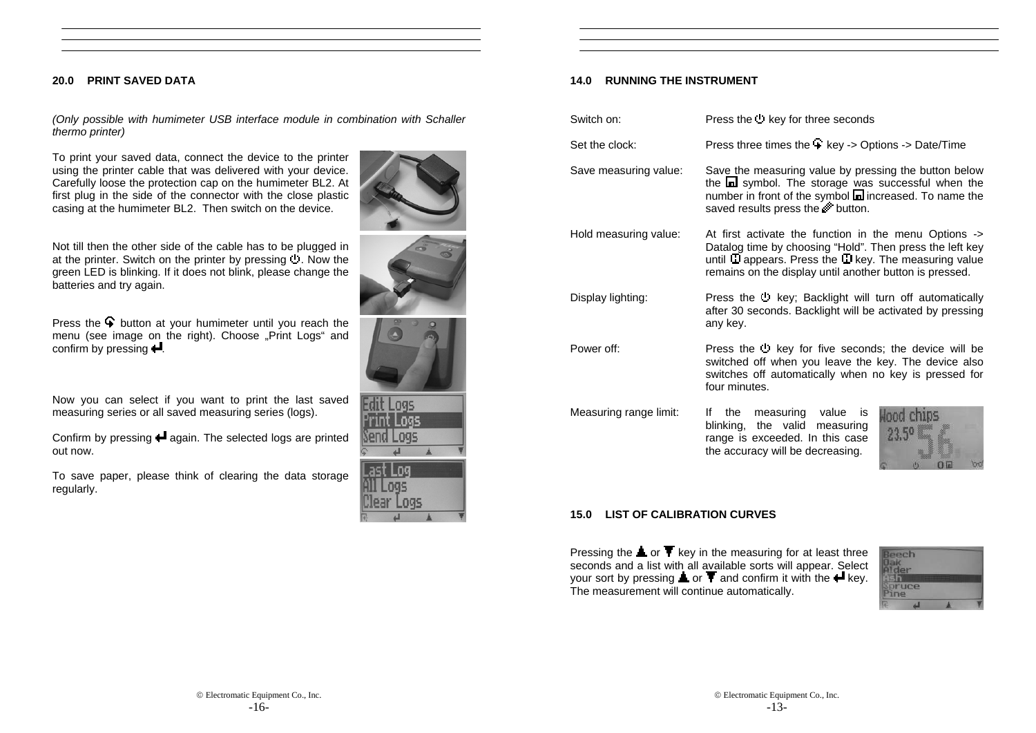### **20.0 PRINT SAVED DATA**

*(Only possible with humimeter USB interface module in combination with Schaller thermo printer)*

To print your saved data, connect the device to the printer using the printer cable that was delivered with your device. Carefully loose the protection cap on the humimeter BL2. At first plug in the side of the connector with the close plastic casing at the humimeter BL2. Then switch on the device.



Not till then the other side of the cable has to be plugged in at the printer. Switch on the printer by pressing  $\overline{C}$ . Now the green LED is blinking. If it does not blink, please change the batteries and try again.

Press the  $\mathbf{\hat{P}}$  button at your humimeter until you reach the menu (see image on the right). Choose "Print Logs" and confirm by pressing  $\blacksquare$ .

Now you can select if you want to print the last saved measuring series or all saved measuring series (logs).

Confirm by pressing  $\biguparrow$  again. The selected logs are printed out now.

To save paper, please think of clearing the data storage regularly.

| <b>Igs</b>      |
|-----------------|
| 095<br>195<br>٠ |



# **14.0 RUNNING THE INSTRUMENT**

| Switch on:             | Press the key for three seconds                                                                                                                                                                                                                 |
|------------------------|-------------------------------------------------------------------------------------------------------------------------------------------------------------------------------------------------------------------------------------------------|
| Set the clock:         | Press three times the + key -> Options -> Date/Time                                                                                                                                                                                             |
| Save measuring value:  | Save the measuring value by pressing the button below<br>the a symbol. The storage was successful when the<br>number in front of the symbol a increased. To name the<br>saved results press the wideling.                                       |
| Hold measuring value:  | At first activate the function in the menu Options -><br>Datalog time by choosing "Hold". Then press the left key<br>until $\Box$ appears. Press the $\Box$ key. The measuring value<br>remains on the display until another button is pressed. |
| Display lighting:      | Press the <sup>1</sup> key; Backlight will turn off automatically<br>after 30 seconds. Backlight will be activated by pressing<br>any key.                                                                                                      |
| Power off:             | Press the " key for five seconds; the device will be<br>switched off when you leave the key. The device also<br>switches off automatically when no key is pressed for<br>four minutes.                                                          |
| Measuring range limit: | measuring value<br>lf.<br>the<br>is<br>Hood chins<br>the valid measuring<br>blinking,<br>range is exceeded. In this case<br>the accuracy will be decreasing.                                                                                    |

### **15.0 LIST OF CALIBRATION CURVES**

Pressing the  $\triangle$  or  $\blacktriangledown$  key in the measuring for at least three seconds and a list with all available sorts will appear. Select your sort by pressing  $\blacktriangle$  or  $\blacktriangledown$  and confirm it with the  $\blacktriangle$  key. The measurement will continue automatically.

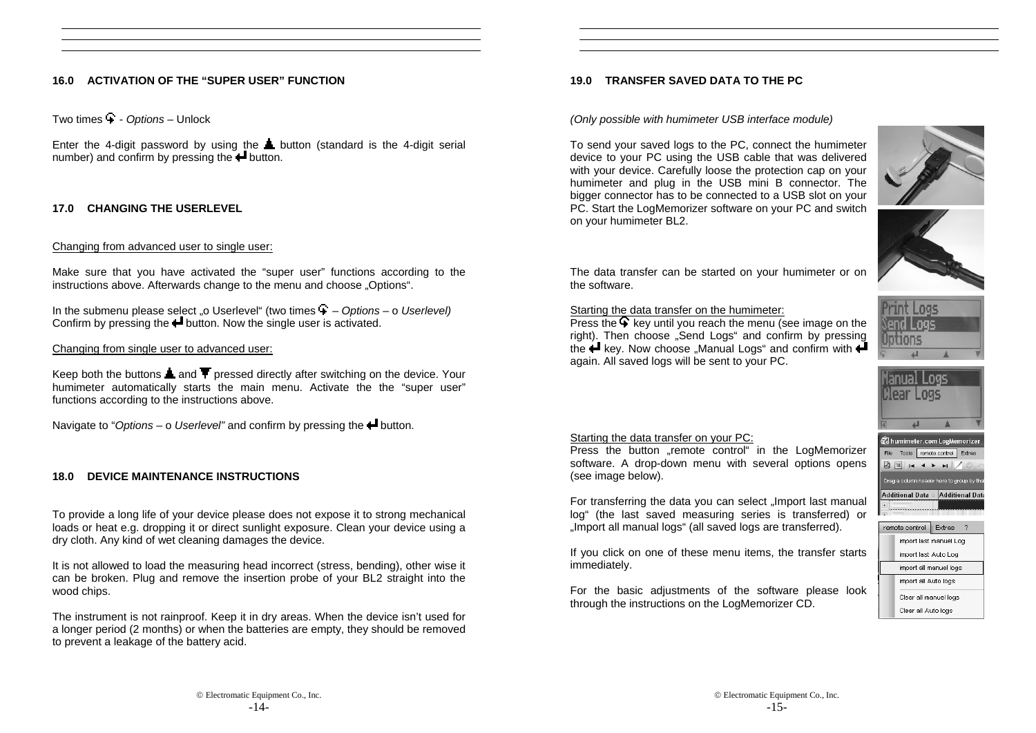# **16.0 ACTIVATION OF THE "SUPER USER" FUNCTION**

Two times - *Options* – Unlock

Enter the 4-digit password by using the **L** button (standard is the 4-digit serial number) and confirm by pressing the  $\blacktriangle$  button.

# **17.0 CHANGING THE USERLEVEL**

# Changing from advanced user to single user:

Make sure that you have activated the "super user" functions according to the instructions above. Afterwards change to the menu and choose . Options".

In the submenu please select <sub>"</sub> o Userlevel" (two times  $\ddot{ }$  - *Options* – o *Userlevel*) Confirm by pressing the  $\blacksquare$  button. Now the single user is activated.

# Changing from single user to advanced user:

Keep both the buttons **a** and  $\overline{\mathbf{T}}$  pressed directly after switching on the device. Your humimeter automatically starts the main menu. Activate the the "super user" functions according to the instructions above.

Navigate to "*Options* – o *Userlevel*" and confirm by pressing the **+** button.

# **18.0 DEVICE MAINTENANCE INSTRUCTIONS**

To provide a long life of your device please does not expose it to strong mechanical loads or heat e.g. dropping it or direct sunlight exposure. Clean your device using a dry cloth. Any kind of wet cleaning damages the device.

It is not allowed to load the measuring head incorrect (stress, bending), other wise it can be broken. Plug and remove the insertion probe of your BL2 straight into the wood chips.

The instrument is not rainproof. Keep it in dry areas. When the device isn't used for a longer period (2 months) or when the batteries are empty, they should be removed to prevent a leakage of the battery acid.

# **19.0 TRANSFER SAVED DATA TO THE PC**

### *(Only possible with humimeter USB interface module)*

To send your saved logs to the PC, connect the humimeter device to your PC using the USB cable that was delivered with your device. Carefully loose the protection cap on your humimeter and plug in the USB mini B connector. The bigger connector has to be connected to a USB slot on your PC. Start the LogMemorizer software on your PC and switch on your humimeter BL2.





The data transfer can be started on your humimeter or on the software.

### Starting the data transfer on the humimeter:

Press the  $\bigcirc$  key until you reach the menu (see image on the right). Then choose "Send Logs" and confirm by pressing the  $\leftarrow$  key. Now choose "Manual Logs" and confirm with  $\leftarrow$ again. All saved logs will be sent to your PC.





# Starting the data transfer on your PC:

Press the button ...remote control in the LogMemorizer software. A drop-down menu with several options opens (see image below).

For transferring the data you can select "Import last manual log" (the last saved measuring series is transferred) or "Import all manual logs" (all saved logs are transferred).

If you click on one of these menu items, the transfer starts immediately.

For the basic adjustments of the software please look through the instructions on the LogMemorizer CD.



|                        | import last manuel Log |
|------------------------|------------------------|
| import last Auto Loq   |                        |
| import all manuel logs |                        |
| import all Auto logs   |                        |
| Clear all manuel logs  |                        |
| Clear all Auto logs    |                        |